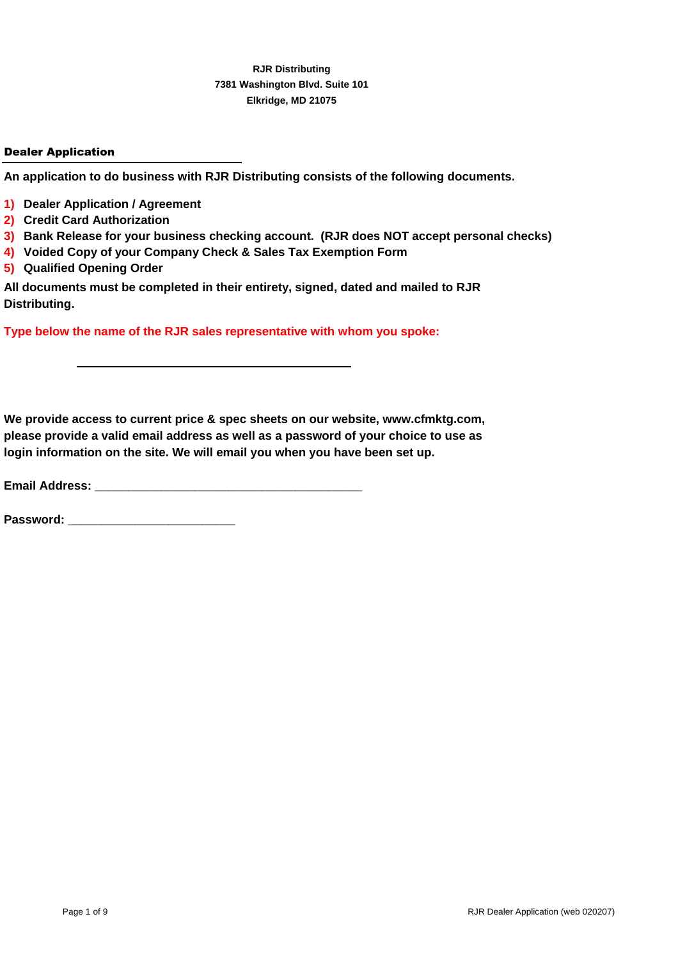#### **RJR Distributing 7381 Washington Blvd. Suite 101 Elkridge, MD 21075**

#### Dealer Application

**An application to do business with RJR Distributing consists of the following documents.**

- **1) Dealer Application / Agreement**
- **2) Credit Card Authorization**
- **3) Bank Release for your business checking account. (RJR does NOT accept personal checks)**
- **4) Voided Copy of your Company Check & Sales Tax Exemption Form**
- **5) Qualified Opening Order**

**All documents must be completed in their entirety, signed, dated and mailed to RJR Distributing.**

**Type below the name of the RJR sales representative with whom you spoke:**

**We provide access to current price & spec sheets on our website, www.cfmktg.com, please provide a valid email address as well as a password of your choice to use as login information on the site. We will email you when you have been set up.**

**Email Address: \_\_\_\_\_\_\_\_\_\_\_\_\_\_\_\_\_\_\_\_\_\_\_\_\_\_\_\_\_\_\_\_\_\_\_\_\_\_\_\_**

**Password:**  $\blacksquare$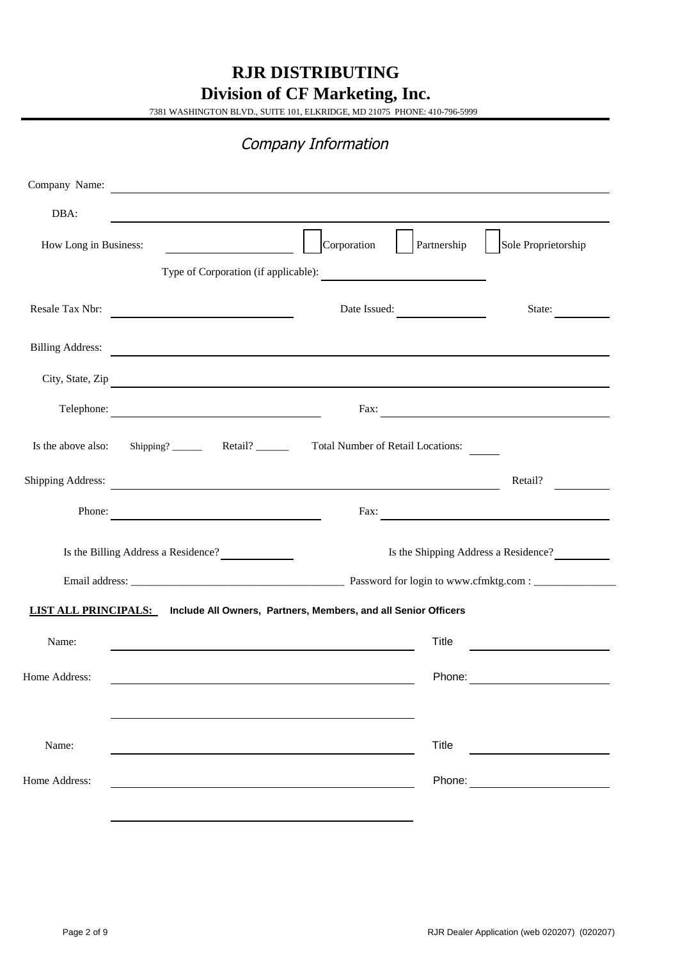# **RJR DISTRIBUTING Division of CF Marketing, Inc.**

7381 WASHINGTON BLVD., SUITE 101, ELKRIDGE, MD 21075 PHONE: 410-796-5999

# Company Information

| Company Name:                                                                       | <u> 1980 - Jan Samuel Barbara, martin di shekara 1980 - Ang katalog asl na shekara 1980 - Ang katalog asl na shek</u> |                     |  |
|-------------------------------------------------------------------------------------|-----------------------------------------------------------------------------------------------------------------------|---------------------|--|
| DBA:                                                                                | <u> 1980 - Johann Barnett, fransk politik (d. 1980)</u>                                                               |                     |  |
| How Long in Business:                                                               | Partnership<br>Corporation<br>Type of Corporation (if applicable):                                                    | Sole Proprietorship |  |
| Resale Tax Nbr:                                                                     | Date Issued:<br><u> 1989 - Johann Barbara, martxa alemaniar a</u>                                                     | State:              |  |
| <b>Billing Address:</b>                                                             | <u> 1990 - Jan James James Barnett, amerikansk politiker (d. 1980)</u>                                                |                     |  |
|                                                                                     |                                                                                                                       |                     |  |
|                                                                                     | Telephone:<br>Fax:                                                                                                    |                     |  |
|                                                                                     | Is the above also: Shipping? Retail? Total Number of Retail Locations:                                                |                     |  |
|                                                                                     | Shipping Address:<br>Retail?                                                                                          |                     |  |
| Phone:                                                                              | Fax:<br><u> 1980 - Johann Barbara, martxa alemaniar a</u>                                                             |                     |  |
|                                                                                     | Is the Shipping Address a Residence?<br>Is the Billing Address a Residence?                                           |                     |  |
|                                                                                     |                                                                                                                       |                     |  |
| LIST ALL PRINCIPALS: Include All Owners, Partners, Members, and all Senior Officers |                                                                                                                       |                     |  |
| Name:                                                                               | Title                                                                                                                 |                     |  |
| Home Address:                                                                       | Phone:                                                                                                                |                     |  |
|                                                                                     |                                                                                                                       |                     |  |
| Name:                                                                               | Title                                                                                                                 |                     |  |
| Home Address:                                                                       |                                                                                                                       |                     |  |
|                                                                                     |                                                                                                                       |                     |  |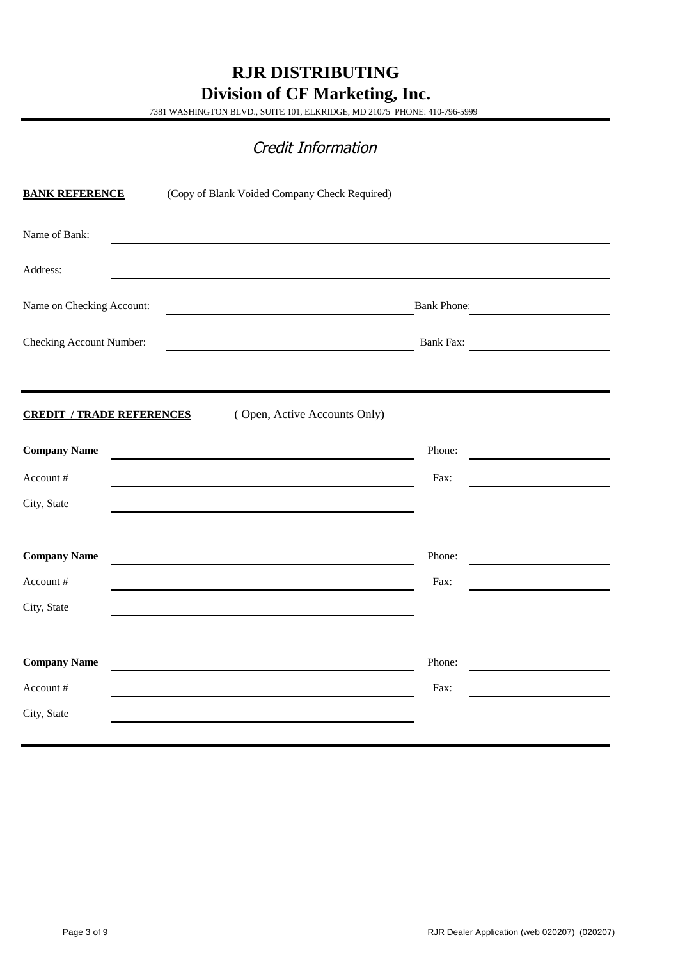# **RJR DISTRIBUTING Division of CF Marketing, Inc.**

7381 WASHINGTON BLVD., SUITE 101, ELKRIDGE, MD 21075 PHONE: 410-796-5999

### Credit Information

| <b>BANK REFERENCE</b>            | (Copy of Blank Voided Company Check Required)                         |                    |                                                    |
|----------------------------------|-----------------------------------------------------------------------|--------------------|----------------------------------------------------|
| Name of Bank:                    |                                                                       |                    |                                                    |
| Address:                         |                                                                       |                    |                                                    |
| Name on Checking Account:        |                                                                       | <b>Bank Phone:</b> |                                                    |
| Checking Account Number:         |                                                                       | <b>Bank Fax:</b>   |                                                    |
|                                  |                                                                       |                    |                                                    |
| <b>CREDIT / TRADE REFERENCES</b> | (Open, Active Accounts Only)                                          |                    |                                                    |
| <b>Company Name</b>              |                                                                       | Phone:             |                                                    |
| Account#                         |                                                                       | Fax:               |                                                    |
| City, State                      |                                                                       |                    |                                                    |
|                                  |                                                                       |                    |                                                    |
| <b>Company Name</b>              | <u> 1989 - Johann Harry Barn, mars an t-Amerikaansk kommunister (</u> | Phone:             |                                                    |
| Account#                         |                                                                       | Fax:               |                                                    |
| City, State                      |                                                                       |                    |                                                    |
|                                  |                                                                       |                    |                                                    |
| <b>Company Name</b>              |                                                                       | Phone:             | <u> 1989 - Jan Barbara Barat, prima politik po</u> |
| Account#                         |                                                                       | Fax:               |                                                    |
| City, State                      |                                                                       |                    |                                                    |
|                                  |                                                                       |                    |                                                    |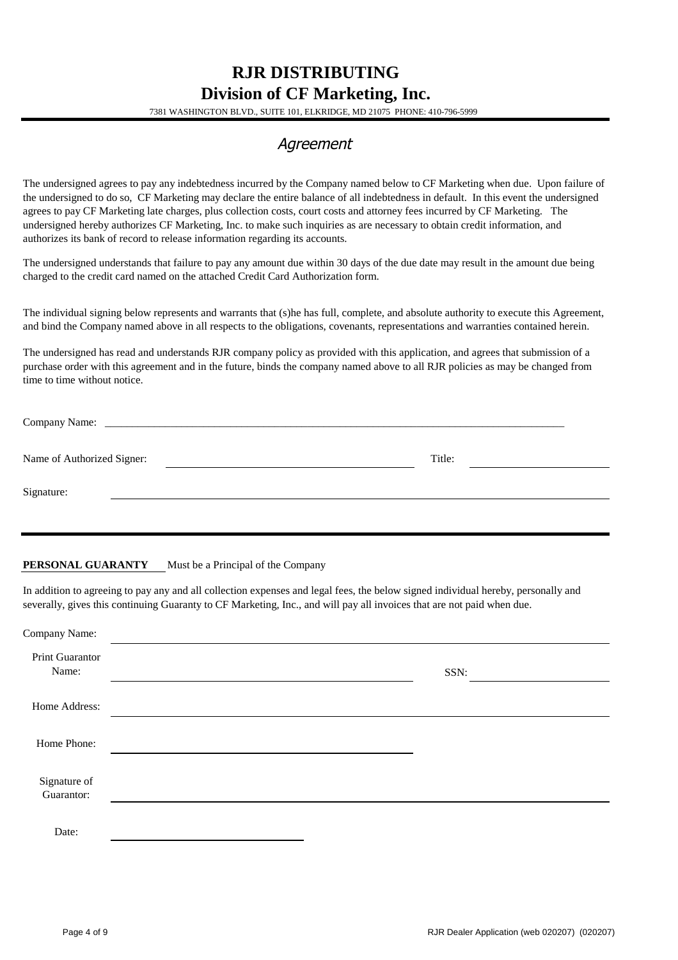### **RJR DISTRIBUTING Division of CF Marketing, Inc.**

7381 WASHINGTON BLVD., SUITE 101, ELKRIDGE, MD 21075 PHONE: 410-796-5999

### Agreement

The undersigned agrees to pay any indebtedness incurred by the Company named below to CF Marketing when due. Upon failure of the undersigned to do so, CF Marketing may declare the entire balance of all indebtedness in default. In this event the undersigned agrees to pay CF Marketing late charges, plus collection costs, court costs and attorney fees incurred by CF Marketing. The undersigned hereby authorizes CF Marketing, Inc. to make such inquiries as are necessary to obtain credit information, and authorizes its bank of record to release information regarding its accounts.

The undersigned understands that failure to pay any amount due within 30 days of the due date may result in the amount due being charged to the credit card named on the attached Credit Card Authorization form.

The individual signing below represents and warrants that (s)he has full, complete, and absolute authority to execute this Agreement, and bind the Company named above in all respects to the obligations, covenants, representations and warranties contained herein.

The undersigned has read and understands RJR company policy as provided with this application, and agrees that submission of a purchase order with this agreement and in the future, binds the company named above to all RJR policies as may be changed from time to time without notice.

| Name of Authorized Signer: | Title: |  |
|----------------------------|--------|--|
| Signature:                 |        |  |
|                            |        |  |

#### **PERSONAL GUARANTY** Must be a Principal of the Company

In addition to agreeing to pay any and all collection expenses and legal fees, the below signed individual hereby, personally and severally, gives this continuing Guaranty to CF Marketing, Inc., and will pay all invoices that are not paid when due.

| Company Name:              |      |
|----------------------------|------|
| Print Guarantor<br>Name:   | SSN: |
| Home Address:              |      |
| Home Phone:                |      |
| Signature of<br>Guarantor: |      |
| Date:                      |      |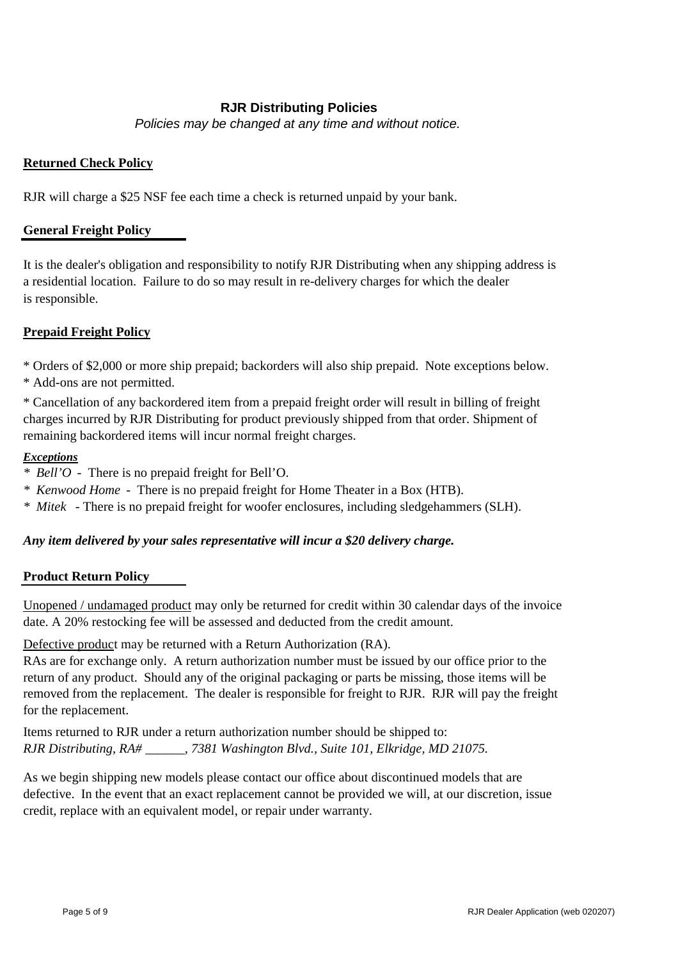### **RJR Distributing Policies**

*Policies may be changed at any time and without notice.*

#### **Returned Check Policy**

RJR will charge a \$25 NSF fee each time a check is returned unpaid by your bank.

#### **General Freight Policy**

It is the dealer's obligation and responsibility to notify RJR Distributing when any shipping address is a residential location. Failure to do so may result in re-delivery charges for which the dealer is responsible.

#### **Prepaid Freight Policy**

- \* Orders of \$2,000 or more ship prepaid; backorders will also ship prepaid. Note exceptions below.
- \* Add-ons are not permitted.

\* Cancellation of any backordered item from a prepaid freight order will result in billing of freight charges incurred by RJR Distributing for product previously shipped from that order. Shipment of remaining backordered items will incur normal freight charges.

#### *Exceptions*

- *\* Bell'O* There is no prepaid freight for Bell'O.
- *\* Kenwood Home* There is no prepaid freight for Home Theater in a Box (HTB).
- *\* Mitek* There is no prepaid freight for woofer enclosures, including sledgehammers (SLH).

#### *Any item delivered by your sales representative will incur a \$20 delivery charge.*

#### **Product Return Policy**

Unopened / undamaged product may only be returned for credit within 30 calendar days of the invoice date. A 20% restocking fee will be assessed and deducted from the credit amount.

Defective product may be returned with a Return Authorization (RA).

RAs are for exchange only. A return authorization number must be issued by our office prior to the return of any product. Should any of the original packaging or parts be missing, those items will be removed from the replacement. The dealer is responsible for freight to RJR. RJR will pay the freight for the replacement.

Items returned to RJR under a return authorization number should be shipped to: *RJR Distributing, RA# \_\_\_\_\_\_, 7381 Washington Blvd., Suite 101, Elkridge, MD 21075.*

As we begin shipping new models please contact our office about discontinued models that are defective. In the event that an exact replacement cannot be provided we will, at our discretion, issue credit, replace with an equivalent model, or repair under warranty.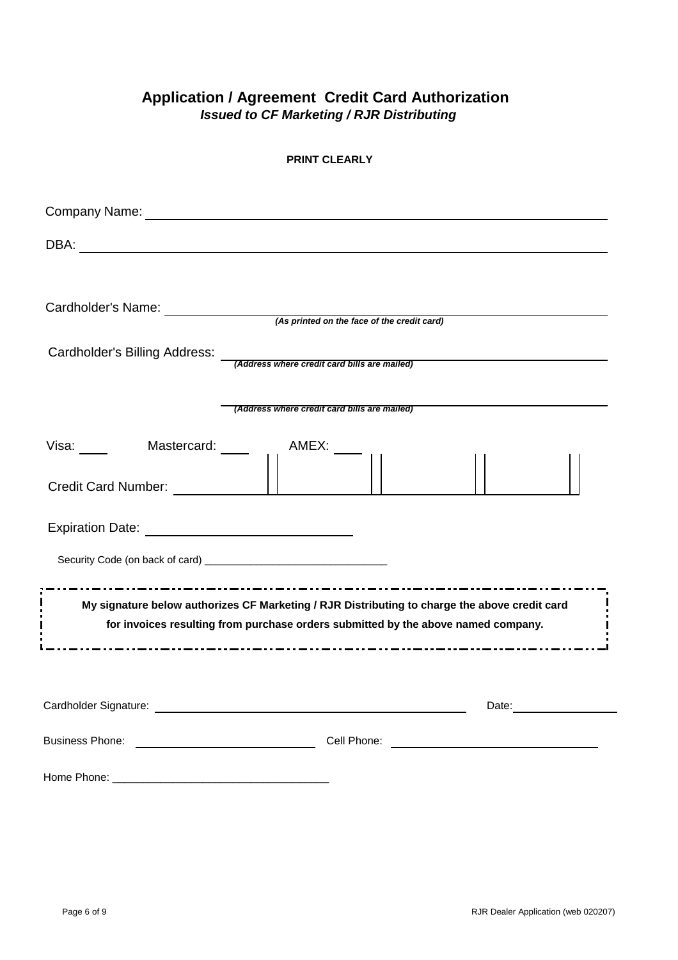### **Application / Agreement Credit Card Authorization** *Issued to CF Marketing / RJR Distributing*

| <b>PRINT CLEARLY</b>                                                                                                                                                                                                                                   |  |  |  |
|--------------------------------------------------------------------------------------------------------------------------------------------------------------------------------------------------------------------------------------------------------|--|--|--|
|                                                                                                                                                                                                                                                        |  |  |  |
|                                                                                                                                                                                                                                                        |  |  |  |
|                                                                                                                                                                                                                                                        |  |  |  |
|                                                                                                                                                                                                                                                        |  |  |  |
| Cardholder's Billing Address:<br>(Address where credit card bills are mailed)                                                                                                                                                                          |  |  |  |
| (Address where credit card bills are mailed)                                                                                                                                                                                                           |  |  |  |
| Mastercard:<br>Visa: and a structure of the structure of the structure of the structure of the structure of the structure of the structure of the structure of the structure of the structure of the structure of the structure of the struct<br>AMEX: |  |  |  |
|                                                                                                                                                                                                                                                        |  |  |  |
| Expiration Date: <u>contract and the contract of the contract of the contract of the contract of the contract of the contract of the contract of the contract of the contract of the contract of the contract of the contract of</u>                   |  |  |  |
|                                                                                                                                                                                                                                                        |  |  |  |
| My signature below authorizes CF Marketing / RJR Distributing to charge the above credit card<br>for invoices resulting from purchase orders submitted by the above named company.                                                                     |  |  |  |
|                                                                                                                                                                                                                                                        |  |  |  |
| Date: <u>_________________</u>                                                                                                                                                                                                                         |  |  |  |
|                                                                                                                                                                                                                                                        |  |  |  |
|                                                                                                                                                                                                                                                        |  |  |  |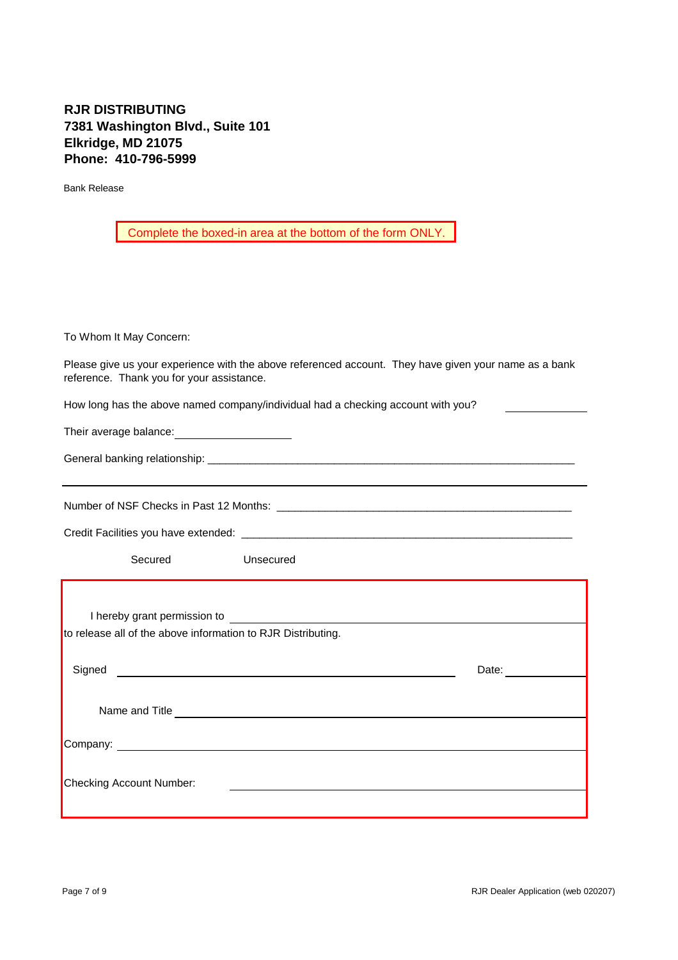### **RJR DISTRIBUTING 7381 Washington Blvd., Suite 101 Elkridge, MD 21075 Phone: 410-796-5999**

Bank Release

Complete the boxed-in area at the bottom of the form ONLY.

To Whom It May Concern:

Please give us your experience with the above referenced account. They have given your name as a bank reference. Thank you for your assistance.

How long has the above named company/individual had a checking account with you?

| Their average balance: |
|------------------------|

| General banking relationship: |  |
|-------------------------------|--|
|                               |  |

Number of NSF Checks in Past 12 Months:

Credit Facilities you have extended: \_

Secured Unsecured

| to release all of the above information to RJR Distributing. |       |  |  |
|--------------------------------------------------------------|-------|--|--|
|                                                              |       |  |  |
| Signed                                                       | Date: |  |  |
|                                                              |       |  |  |
|                                                              |       |  |  |
| Name and Title <b>Container and Title</b>                    |       |  |  |
|                                                              |       |  |  |
|                                                              |       |  |  |
|                                                              |       |  |  |
| Checking Account Number:                                     |       |  |  |
|                                                              |       |  |  |
|                                                              |       |  |  |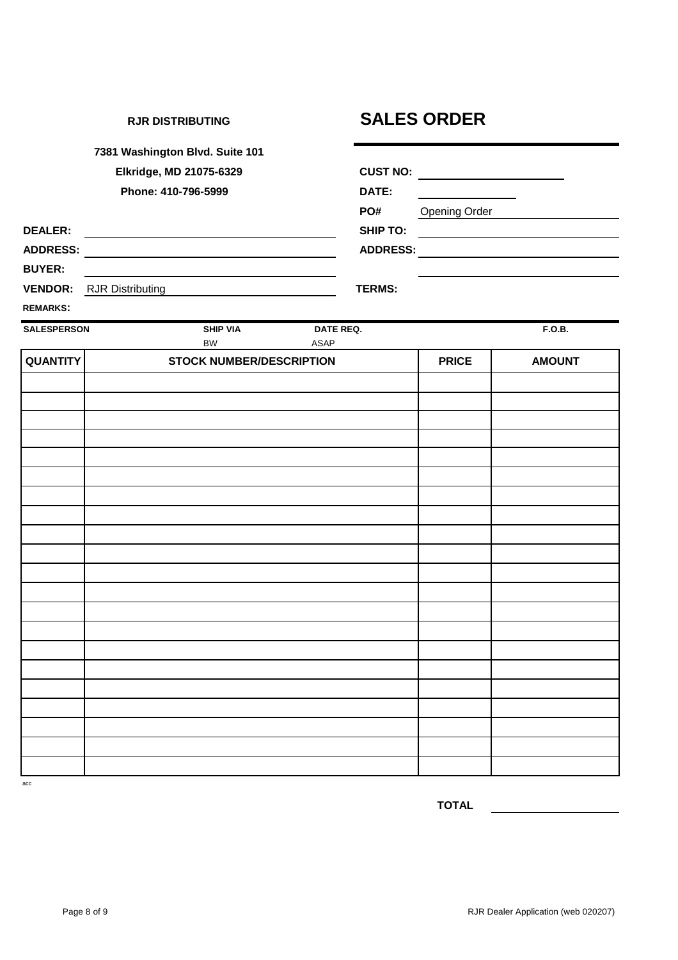acc

### **RJR DISTRIBUTING**

**7381 Washington Blvd. Suite 101 Elkridge, MD 21075-6329 Phone: 410-796-5999**

**DEALER: SHIP TO:**

**ADDRESS: ADDRESS:**

**BUYER:**

**VENDOR: TERMS:** RJR Distributing

**REMARKS:**

| <b>SALESPERSON</b> | <b>SHIP VIA</b>                 | DATE REQ. |              | F.O.B.        |
|--------------------|---------------------------------|-----------|--------------|---------------|
|                    | BW                              | ASAP      |              |               |
| QUANTITY           | <b>STOCK NUMBER/DESCRIPTION</b> |           | <b>PRICE</b> | <b>AMOUNT</b> |
|                    |                                 |           |              |               |
|                    |                                 |           |              |               |
|                    |                                 |           |              |               |
|                    |                                 |           |              |               |
|                    |                                 |           |              |               |
|                    |                                 |           |              |               |
|                    |                                 |           |              |               |
|                    |                                 |           |              |               |
|                    |                                 |           |              |               |
|                    |                                 |           |              |               |
|                    |                                 |           |              |               |
|                    |                                 |           |              |               |
|                    |                                 |           |              |               |
|                    |                                 |           |              |               |
|                    |                                 |           |              |               |
|                    |                                 |           |              |               |
|                    |                                 |           |              |               |
|                    |                                 |           |              |               |
|                    |                                 |           |              |               |
|                    |                                 |           |              |               |
|                    |                                 |           |              |               |
|                    |                                 |           |              |               |

**TOTAL**

**CUST NO:**

 $\begin{array}{c} \begin{array}{c} \begin{array}{c} \begin{array}{c} \end{array} \\ \begin{array}{c} \end{array} \end{array} \end{array} \end{array} \end{array} \end{array} \begin{array}{c} \begin{array}{c} \begin{array}{c} \end{array} \\ \begin{array}{c} \end{array} \end{array} \end{array}$ 

Opening Order

**DATE: PO#**